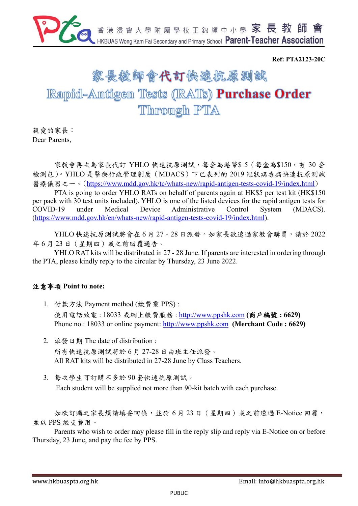

**Ref: PTA2123-20C** 

# 家長教師會代訂快速抗原測試 Rapid-Antigen Tests (RATs) Purchase Order Through PTA

親愛的家長: Dear Parents,

家教會再次為家長代訂 YHLO 快速抗原測試,每套為港幣\$ 5 (每盒為\$150,有 30 套 檢測包)。YHLO 是醫療行政管理制度(MDACS)下已表列的 2019 冠狀病毒病快速抗原測試 醫療儀器之一。(https://www.mdd.gov.hk/tc/whats-new/rapid-antigen-tests-covid-19/index.html)

PTA is going to order YHLO RATs on behalf of parents again at HK\$5 per test kit (HK\$150) per pack with 30 test units included). YHLO is one of the listed devices for the rapid antigen tests for COVID-19 under Medical Device Administrative Control System (MDACS). (https://www.mdd.gov.hk/en/whats-new/rapid-antigen-tests-covid-19/index.html).

YHLO 快速抗原測試將會在 6月 27 - 28 日派發。如家長欲透過家教會購買,請於 2022 年 6 月 23 日(星期四)或之前回覆通告。

YHLO RAT kits will be distributed in 27 - 28 June. If parents are interested in ordering through the PTA, please kindly reply to the circular by Thursday, 23 June 2022.

## 注意事項 **Point to note:**

- 1. 付款方法 Payment method (繳費靈 PPS) : 使用電話致電 : 18033 或網上繳費服務 : http://www.ppshk.com **(**商戶編號 **: 6629)**  Phone no.: 18033 or online payment: http://www.ppshk.com **(Merchant Code : 6629)**
- 2. 派發日期 The date of distribution : 所有快速抗原測試將於 6 月 27-28 日由班主任派發。 All RAT kits will be distributed in 27-28 June by Class Teachers.
- 3. 每次學生可訂購不多於 90 套快速抗原測試。 Each student will be supplied not more than 90-kit batch with each purchase.

如欲訂購之家長煩請填妥回條,並於 6 月 23 日(星期四)或之前透過 E-Notice 回覆, 並以 PPS 繳交費用。

Parents who wish to order may please fill in the reply slip and reply via E-Notice on or before Thursday, 23 June, and pay the fee by PPS.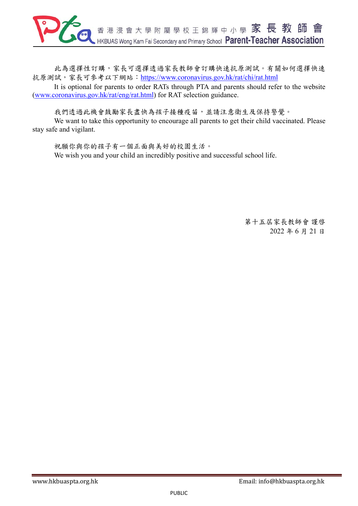

此為選擇性訂購,家長可選擇透過家長教師會訂購快速抗原測試。有關如何選擇快速 抗原測試,家長可參考以下網站:https://www.coronavirus.gov.hk/rat/chi/rat.html

It is optional for parents to order RATs through PTA and parents should refer to the website (www.coronavirus.gov.hk/rat/eng/rat.html) for RAT selection guidance.

我們透過此機會鼓勵家長盡快為孩子接種疫苗,並請注意衛生及保持警覺。

We want to take this opportunity to encourage all parents to get their child vaccinated. Please stay safe and vigilant.

祝願你與你的孩子有一個正面與美好的校園生活。 We wish you and your child an incredibly positive and successful school life.

> 第十五屆家長教師會 謹啓 2022 年 6 月 21 日